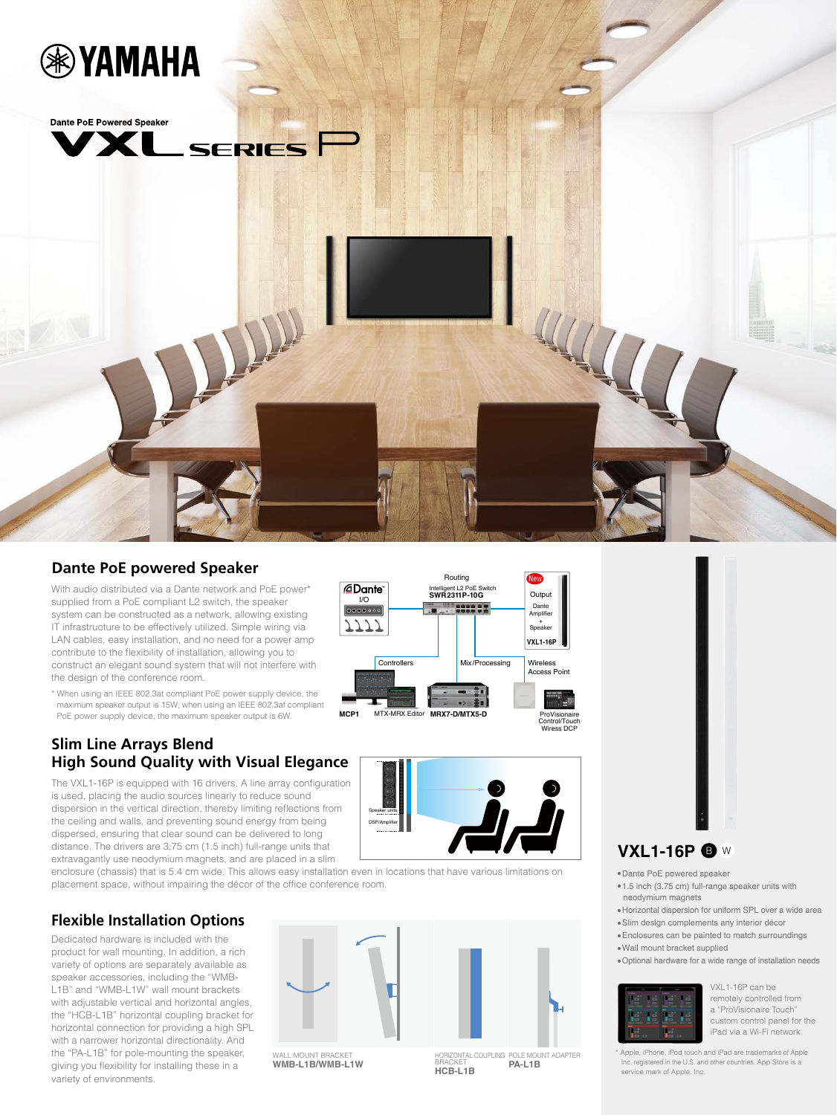



### **Dante PoE powered Speaker**

With audio distributed via a Dante network and PoE power\* supplied from a PoE compliant L2 switch, the speaker system can be constructed as a network, allowing existing IT infrastructure to be effectively utilized. Simple wiring via LAN cables, easy installation, and no need for a power amp contribute to the flexibility of installation, allowing you to construct an elegant sound system that will not interfere with the design of the conference room.

\* When using an IEEE 802.3at compliant PoE power supply device, the maximum speaker output is 15W; when using an IEEE 802.3af compliant PoE power supply device, the maximum speaker output is 6W.

## **Slim Line Arrays Blend High Sound Quality with Visual Elegance**

The VXL1-16P is equipped with 16 drivers. A line array configuration is used, placing the audio sources linearly to reduce sound dispersion in the vertical direction, thereby limiting reflections from the ceiling and walls, and preventing sound energy from being dispersed, ensuring that clear sound can be delivered to long distance. The drivers are 3.75 cm (1.5 inch) full-range units that extravagantly use neodymium magnets, and are placed in a slim

enclosure (chassis) that is 5.4 cm wide. This allows easy installation even in locations that have various limitations on placement space, without impairing the décor of the office conference room.

# **Flexible Installation Options**

Dedicated hardware is included with the product for wall mounting. In addition, a rich variety of options are separately available as speaker accessories, including the "WMB-L1B" and "WMB-L1W" wall mount brackets with adjustable vertical and horizontal angles, the "HCB-L1B" horizontal coupling bracket for horizontal connection for providing a high SPL with a narrower horizontal directionality. And the "PA-L1B" for pole-mounting the speaker, giving you flexibility for installing these in a variety of environments.



**WMB-L1B/WMB-L1W**

BRACKET **HCB-L1B** POLE MOUNT ADAPTER **PA-L1B**



## **VXL1-16P ®** W

· Dante PoE powered speaker

- 1.5 inch (3.75 cm) full-range speaker units with neodymium magnets
- $\bullet$  Horizontal dispersion for uniform SPL over a wide area
- · Slim design complements any interior décor
- $\bullet$  Enclosures can be painted to match surroundings
- · Wall mount bracket supplied
- $\bullet$  Optional hardware for a wide range of installation needs



VXL1-16P can be remotely controlled from a "ProVisionaire Touch" custom control panel for the iPad via a Wi-Fi network.

\* Apple, iPhone, iPod touch and iPad are trademarks of Apple Inc. registered in the U.S. and other countries. App Store is a service mark of Apple. Inc.



Routing

Intelligent L2 PoE Switch **SWR2311P-10G**

Controllers Mix/Processing Wireless

**MCP1** MTX-MRX Editor **MRX7-D/MTX5-D** ProVisionaire

Control/Touch Wiress DCP

**VXL1-16P**

Output Dante Amplifier + Speaker

New

••••••••<br>Access Poin

I/O

フフフフ

@Dante<sup>®</sup>